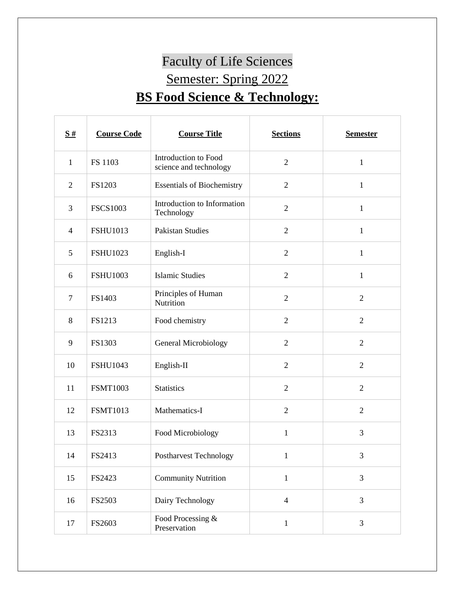## Faculty of Life Sciences Semester: Spring 2022 **BS Food Science & Technology:**

| $\frac{S#}{4}$ | <b>Course Code</b> | <b>Course Title</b>                            | <b>Sections</b> | <b>Semester</b> |
|----------------|--------------------|------------------------------------------------|-----------------|-----------------|
| $\mathbf{1}$   | FS 1103            | Introduction to Food<br>science and technology | $\overline{2}$  | $\mathbf{1}$    |
| $\overline{2}$ | FS1203             | <b>Essentials of Biochemistry</b>              | $\sqrt{2}$      | $\mathbf{1}$    |
| $\overline{3}$ | <b>FSCS1003</b>    | Introduction to Information<br>Technology      | $\mathbf{2}$    | $\mathbf{1}$    |
| $\overline{4}$ | <b>FSHU1013</b>    | <b>Pakistan Studies</b>                        | $\overline{2}$  | $\mathbf{1}$    |
| 5              | <b>FSHU1023</b>    | English-I                                      | $\overline{2}$  | $\mathbf{1}$    |
| 6              | <b>FSHU1003</b>    | <b>Islamic Studies</b>                         | $\overline{2}$  | $\mathbf{1}$    |
| $\tau$         | FS1403             | Principles of Human<br>Nutrition               | $\overline{2}$  | $\overline{2}$  |
| 8              | FS1213             | Food chemistry                                 | $\overline{2}$  | $\overline{2}$  |
| 9              | FS1303             | General Microbiology                           | $\overline{2}$  | $\overline{2}$  |
| 10             | <b>FSHU1043</b>    | English-II                                     | $\overline{2}$  | $\overline{2}$  |
| 11             | <b>FSMT1003</b>    | <b>Statistics</b>                              | $\overline{2}$  | $\overline{2}$  |
| 12             | <b>FSMT1013</b>    | Mathematics-I                                  | $\overline{2}$  | $\overline{2}$  |
| 13             | FS2313             | Food Microbiology                              | $\mathbf{1}$    | 3               |
| 14             | FS2413             | Postharvest Technology                         | $\mathbf{1}$    | 3               |
| 15             | FS2423             | <b>Community Nutrition</b>                     | $\mathbf{1}$    | 3               |
| 16             | FS2503             | Dairy Technology                               | $\overline{4}$  | 3               |
| 17             | FS2603             | Food Processing &<br>Preservation              | $\mathbf{1}$    | 3               |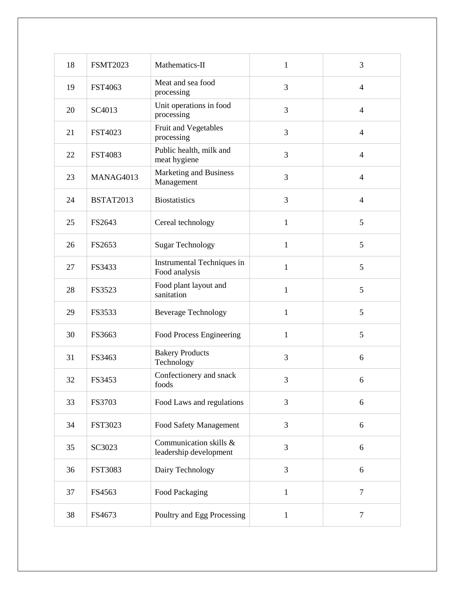| 18 | <b>FSMT2023</b>  | Mathematics-II                                   | $\mathbf{1}$ | 3              |
|----|------------------|--------------------------------------------------|--------------|----------------|
| 19 | FST4063          | Meat and sea food<br>processing                  | 3            | $\overline{4}$ |
| 20 | SC4013           | Unit operations in food<br>processing            | 3            | $\overline{4}$ |
| 21 | FST4023          | Fruit and Vegetables<br>processing               | 3            | $\overline{4}$ |
| 22 | <b>FST4083</b>   | Public health, milk and<br>meat hygiene          | 3            | $\overline{4}$ |
| 23 | MANAG4013        | Marketing and Business<br>Management             | 3            | $\overline{4}$ |
| 24 | <b>BSTAT2013</b> | <b>Biostatistics</b>                             | 3            | $\overline{4}$ |
| 25 | FS2643           | Cereal technology                                | $\mathbf{1}$ | 5              |
| 26 | FS2653           | <b>Sugar Technology</b>                          | $\mathbf{1}$ | 5              |
| 27 | FS3433           | Instrumental Techniques in<br>Food analysis      | $\mathbf{1}$ | 5              |
| 28 | FS3523           | Food plant layout and<br>sanitation              | $\mathbf{1}$ | 5              |
| 29 | FS3533           | <b>Beverage Technology</b>                       | $\mathbf{1}$ | 5              |
| 30 | FS3663           | Food Process Engineering                         | $\mathbf{1}$ | 5              |
| 31 | FS3463           | <b>Bakery Products</b><br>Technology             | 3            | 6              |
| 32 | FS3453           | Confectionery and snack<br>foods                 | 3            | 6              |
| 33 | FS3703           | Food Laws and regulations                        | 3            | 6              |
| 34 | <b>FST3023</b>   | Food Safety Management                           | 3            | 6              |
| 35 | SC3023           | Communication skills &<br>leadership development | 3            | 6              |
| 36 | <b>FST3083</b>   | Dairy Technology                                 | 3            | 6              |
| 37 | FS4563           | Food Packaging                                   | $\mathbf{1}$ | $\overline{7}$ |
| 38 | FS4673           | Poultry and Egg Processing                       | $\mathbf{1}$ | 7              |